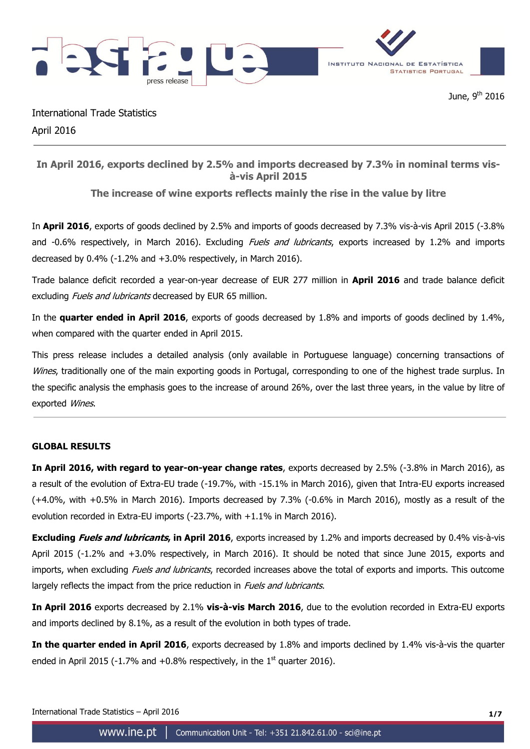

International Trade Statistics April 2016

# **In April 2016, exports declined by 2.5% and imports decreased by 7.3% in nominal terms visà-vis April 2015**

# **The increase of wine exports reflects mainly the rise in the value by litre**

In **April 2016**, exports of goods declined by 2.5% and imports of goods decreased by 7.3% vis-à-vis April 2015 (-3.8% and -0.6% respectively, in March 2016). Excluding *Fuels and lubricants*, exports increased by 1.2% and imports decreased by 0.4% (-1.2% and +3.0% respectively, in March 2016).

Trade balance deficit recorded a year-on-year decrease of EUR 277 million in **April 2016** and trade balance deficit excluding Fuels and lubricants decreased by EUR 65 million.

In the **quarter ended in April 2016**, exports of goods decreased by 1.8% and imports of goods declined by 1.4%, when compared with the quarter ended in April 2015.

This press release includes a detailed analysis (only available in Portuguese language) concerning transactions of Wines, traditionally one of the main exporting goods in Portugal, corresponding to one of the highest trade surplus. In the specific analysis the emphasis goes to the increase of around 26%, over the last three years, in the value by litre of exported Wines.

## **GLOBAL RESULTS**

**In April 2016, with regard to year-on-year change rates**, exports decreased by 2.5% (-3.8% in March 2016), as a result of the evolution of Extra-EU trade (-19.7%, with -15.1% in March 2016), given that Intra-EU exports increased (+4.0%, with +0.5% in March 2016). Imports decreased by 7.3% (-0.6% in March 2016), mostly as a result of the evolution recorded in Extra-EU imports (-23.7%, with +1.1% in March 2016).

**Excluding Fuels and lubricants, in April 2016**, exports increased by 1.2% and imports decreased by 0.4% vis-à-vis April 2015 (-1.2% and +3.0% respectively, in March 2016). It should be noted that since June 2015, exports and imports, when excluding *Fuels and lubricants*, recorded increases above the total of exports and imports. This outcome largely reflects the impact from the price reduction in *Fuels and lubricants*.

**In April 2016** exports decreased by 2.1% **vis-à-vis March 2016**, due to the evolution recorded in Extra-EU exports and imports declined by 8.1%, as a result of the evolution in both types of trade.

**In the quarter ended in April 2016**, exports decreased by 1.8% and imports declined by 1.4% vis-à-vis the quarter ended in April 2015 (-1.7% and  $+0.8%$  respectively, in the 1<sup>st</sup> quarter 2016).

International Trade Statistics – April 2016 **1/7**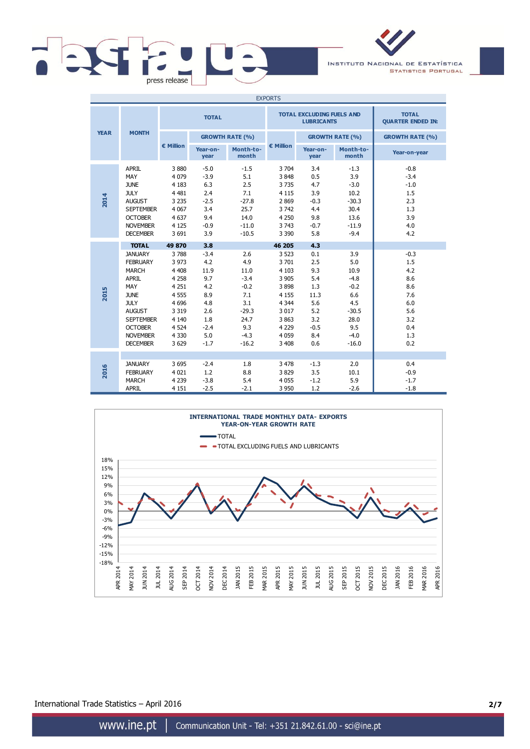

INSTITUTO NACIONAL DE ESTATÍSTICA **STATISTICS PORTUGAL** 

| <b>EXPORTS</b> |                                                                                                                                                                                       |                                                                                                                               |                                                                                            |                                                                                                     |                                                                                                                            |                                                                                      |                                                                                                     |                                                                                     |  |
|----------------|---------------------------------------------------------------------------------------------------------------------------------------------------------------------------------------|-------------------------------------------------------------------------------------------------------------------------------|--------------------------------------------------------------------------------------------|-----------------------------------------------------------------------------------------------------|----------------------------------------------------------------------------------------------------------------------------|--------------------------------------------------------------------------------------|-----------------------------------------------------------------------------------------------------|-------------------------------------------------------------------------------------|--|
|                |                                                                                                                                                                                       | <b>TOTAL</b>                                                                                                                  |                                                                                            |                                                                                                     |                                                                                                                            | <b>TOTAL EXCLUDING FUELS AND</b><br><b>LUBRICANTS</b>                                | <b>TOTAL</b><br><b>QUARTER ENDED IN:</b>                                                            |                                                                                     |  |
| <b>YEAR</b>    | <b>MONTH</b>                                                                                                                                                                          |                                                                                                                               | <b>GROWTH RATE (%)</b>                                                                     |                                                                                                     |                                                                                                                            |                                                                                      | <b>GROWTH RATE (%)</b>                                                                              | <b>GROWTH RATE (%)</b>                                                              |  |
|                |                                                                                                                                                                                       | € Million                                                                                                                     | Year-on-<br>year                                                                           | Month-to-<br>month                                                                                  | € Million                                                                                                                  | Year-on-<br>year                                                                     | Month-to-<br>month                                                                                  | Year-on-year                                                                        |  |
| 2014           | <b>APRIL</b><br>MAY<br><b>JUNE</b><br><b>JULY</b><br><b>AUGUST</b><br><b>SEPTEMBER</b><br><b>OCTOBER</b><br><b>NOVEMBER</b><br><b>DECEMBER</b>                                        | 3880<br>4 0 7 9<br>4 1 8 3<br>4 4 8 1<br>3 2 3 5<br>4 0 67<br>4 6 3 7<br>4 1 2 5<br>3 6 9 1                                   | $-5.0$<br>$-3.9$<br>6.3<br>2.4<br>$-2.5$<br>3.4<br>9.4<br>$-0.9$<br>3.9                    | $-1.5$<br>5.1<br>2.5<br>7.1<br>$-27.8$<br>25.7<br>14.0<br>$-11.0$<br>$-10.5$                        | 3 7 0 4<br>3848<br>3735<br>4 1 1 5<br>2869<br>3742<br>4 2 5 0<br>3 7 4 3<br>3 3 9 0                                        | 3.4<br>0.5<br>4.7<br>3.9<br>$-0.3$<br>4.4<br>9.8<br>$-0.7$<br>5.8                    | $-1.3$<br>3.9<br>$-3.0$<br>10.2<br>$-30.3$<br>30.4<br>13.6<br>$-11.9$<br>$-9.4$                     | $-0.8$<br>$-3.4$<br>$-1.0$<br>1.5<br>2.3<br>1.3<br>3.9<br>4.0<br>4.2                |  |
|                | <b>TOTAL</b>                                                                                                                                                                          | 49 870                                                                                                                        | 3.8                                                                                        |                                                                                                     | 46 205                                                                                                                     | 4.3                                                                                  |                                                                                                     |                                                                                     |  |
| 2015           | <b>JANUARY</b><br><b>FEBRUARY</b><br>MARCH<br>APRIL<br>MAY<br><b>JUNE</b><br><b>JULY</b><br><b>AUGUST</b><br><b>SEPTEMBER</b><br><b>OCTOBER</b><br><b>NOVEMBER</b><br><b>DECEMBER</b> | 3788<br>3 9 7 3<br>4 4 0 8<br>4 2 5 8<br>4 2 5 1<br>4 5 5 5<br>4 6 9 6<br>3 3 1 9<br>4 1 4 0<br>4 5 2 4<br>4 3 3 0<br>3 6 2 9 | $-3.4$<br>4.2<br>11.9<br>9.7<br>4.2<br>8.9<br>4.8<br>2.6<br>1.8<br>$-2.4$<br>5.0<br>$-1.7$ | 2.6<br>4.9<br>11.0<br>$-3.4$<br>$-0.2$<br>7.1<br>3.1<br>$-29.3$<br>24.7<br>9.3<br>$-4.3$<br>$-16.2$ | 3 5 2 3<br>3 7 0 1<br>4 1 0 3<br>3 9 0 5<br>3898<br>4 1 5 5<br>4 3 4 4<br>3 0 1 7<br>3863<br>4 2 2 9<br>4 0 5 9<br>3 4 0 8 | 0.1<br>2.5<br>9.3<br>5.4<br>1.3<br>11.3<br>5.6<br>5.2<br>3.2<br>$-0.5$<br>8.4<br>0.6 | 3.9<br>5.0<br>10.9<br>$-4.8$<br>$-0.2$<br>6.6<br>4.5<br>$-30.5$<br>28.0<br>9.5<br>$-4.0$<br>$-16.0$ | $-0.3$<br>1.5<br>4.2<br>8.6<br>8.6<br>7.6<br>6.0<br>5.6<br>3.2<br>0.4<br>1.3<br>0.2 |  |
| 2016           | <b>JANUARY</b><br><b>FEBRUARY</b><br><b>MARCH</b><br><b>APRIL</b>                                                                                                                     | 3 6 9 5<br>4 0 2 1<br>4 2 3 9<br>4 1 5 1                                                                                      | $-2.4$<br>1.2<br>$-3.8$<br>$-2.5$                                                          | 1.8<br>8.8<br>5.4<br>$-2.1$                                                                         | 3 4 7 8<br>3829<br>4 0 5 5<br>3 9 5 0                                                                                      | $-1.3$<br>3.5<br>$-1.2$<br>1.2                                                       | 2.0<br>10.1<br>5.9<br>$-2.6$                                                                        | 0.4<br>$-0.9$<br>$-1.7$<br>$-1.8$                                                   |  |



International Trade Statistics – April 2016 **2/7**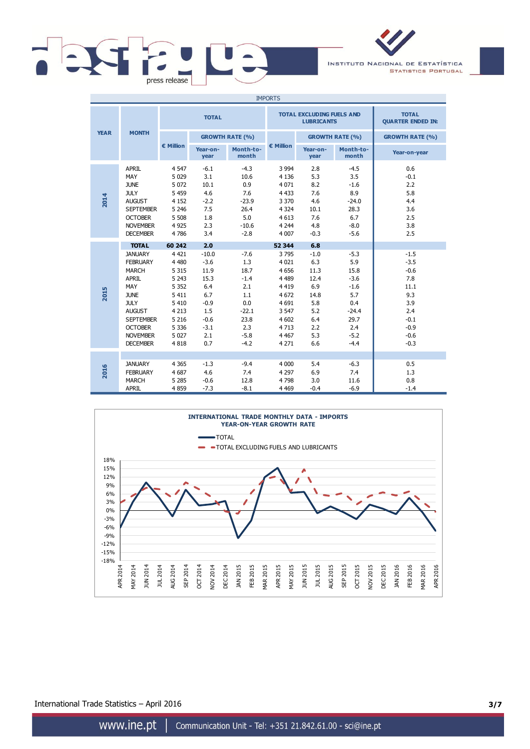

INSTITUTO NACIONAL DE ESTATÍSTICA **STATISTICS PORTUGAL** 

| <b>IMPORTS</b> |                                                                                                                                                                                                     |                                                                                                                               |                                                                                                    |                                                                                                    |                                                                                                                             |                                                                                        |                                                                                                       |                                                                                                        |  |
|----------------|-----------------------------------------------------------------------------------------------------------------------------------------------------------------------------------------------------|-------------------------------------------------------------------------------------------------------------------------------|----------------------------------------------------------------------------------------------------|----------------------------------------------------------------------------------------------------|-----------------------------------------------------------------------------------------------------------------------------|----------------------------------------------------------------------------------------|-------------------------------------------------------------------------------------------------------|--------------------------------------------------------------------------------------------------------|--|
|                |                                                                                                                                                                                                     |                                                                                                                               | <b>TOTAL</b>                                                                                       |                                                                                                    |                                                                                                                             | <b>TOTAL EXCLUDING FUELS AND</b><br><b>LUBRICANTS</b>                                  | <b>TOTAL</b><br><b>QUARTER ENDED IN:</b>                                                              |                                                                                                        |  |
| <b>YEAR</b>    | <b>MONTH</b>                                                                                                                                                                                        |                                                                                                                               | <b>GROWTH RATE (%)</b>                                                                             |                                                                                                    |                                                                                                                             |                                                                                        | <b>GROWTH RATE (%)</b>                                                                                | <b>GROWTH RATE (%)</b>                                                                                 |  |
|                |                                                                                                                                                                                                     | € Million                                                                                                                     | Year-on-<br>year                                                                                   | Month-to-<br>month                                                                                 | € Million                                                                                                                   | Year-on-<br>year                                                                       | Month-to-<br>month                                                                                    | Year-on-year                                                                                           |  |
| 2014           | <b>APRIL</b><br>MAY<br><b>JUNE</b><br><b>JULY</b><br><b>AUGUST</b><br><b>SEPTEMBER</b><br><b>OCTOBER</b><br><b>NOVEMBER</b><br><b>DECEMBER</b>                                                      | 4 5 4 7<br>5 0 2 9<br>5 0 7 2<br>5 4 5 9<br>4 1 5 2<br>5 2 4 6<br>5 5 0 8<br>4 9 2 5<br>4786                                  | $-6.1$<br>3.1<br>10.1<br>4.6<br>$-2.2$<br>7.5<br>1.8<br>2.3<br>3.4                                 | $-4.3$<br>10.6<br>0.9<br>7.6<br>$-23.9$<br>26.4<br>5.0<br>$-10.6$<br>$-2.8$                        | 3 9 9 4<br>4 1 3 6<br>4 0 7 1<br>4 4 3 3<br>3 3 7 0<br>4 3 2 4<br>4 6 1 3<br>4 2 4 4<br>4 0 0 7                             | 2.8<br>5.3<br>8.2<br>7.6<br>4.6<br>10.1<br>7.6<br>4.8<br>$-0.3$                        | $-4.5$<br>3.5<br>$-1.6$<br>8.9<br>$-24.0$<br>28.3<br>6.7<br>$-8.0$<br>$-5.6$                          | 0.6<br>$-0.1$<br>2.2<br>5.8<br>4.4<br>3.6<br>2.5<br>3.8<br>2.5                                         |  |
|                | <b>TOTAL</b>                                                                                                                                                                                        | 60 242                                                                                                                        | 2.0                                                                                                |                                                                                                    | 52 344                                                                                                                      | 6.8                                                                                    |                                                                                                       |                                                                                                        |  |
| 2015           | <b>JANUARY</b><br><b>FEBRUARY</b><br><b>MARCH</b><br><b>APRIL</b><br>MAY<br><b>JUNE</b><br><b>JULY</b><br><b>AUGUST</b><br><b>SEPTEMBER</b><br><b>OCTOBER</b><br><b>NOVEMBER</b><br><b>DECEMBER</b> | 4 4 2 1<br>4 4 8 0<br>5 3 1 5<br>5 2 4 3<br>5 3 5 2<br>5 4 1 1<br>5 4 1 0<br>4 2 1 3<br>5 2 1 6<br>5 3 3 6<br>5 0 2 7<br>4818 | $-10.0$<br>$-3.6$<br>11.9<br>15.3<br>6.4<br>6.7<br>$-0.9$<br>1.5<br>$-0.6$<br>$-3.1$<br>2.1<br>0.7 | $-7.6$<br>1.3<br>18.7<br>$-1.4$<br>2.1<br>1.1<br>0.0<br>$-22.1$<br>23.8<br>2.3<br>$-5.8$<br>$-4.2$ | 3795<br>4 0 2 1<br>4 6 5 6<br>4 4 8 9<br>4 4 1 9<br>4 6 7 2<br>4 6 9 1<br>3 5 4 7<br>4 602<br>4 7 1 3<br>4 4 6 7<br>4 2 7 1 | $-1.0$<br>6.3<br>11.3<br>12.4<br>6.9<br>14.8<br>5.8<br>5.2<br>6.4<br>2.2<br>5.3<br>6.6 | $-5.3$<br>5.9<br>15.8<br>$-3.6$<br>$-1.6$<br>5.7<br>0.4<br>$-24.4$<br>29.7<br>2.4<br>$-5.2$<br>$-4.4$ | $-1.5$<br>$-3.5$<br>$-0.6$<br>7.8<br>11.1<br>9.3<br>3.9<br>2.4<br>$-0.1$<br>$-0.9$<br>$-0.6$<br>$-0.3$ |  |
| 2016           | <b>JANUARY</b><br><b>FEBRUARY</b><br><b>MARCH</b><br><b>APRIL</b>                                                                                                                                   | 4 3 6 5<br>4 6 8 7<br>5 2 8 5<br>4859                                                                                         | $-1.3$<br>4.6<br>$-0.6$<br>$-7.3$                                                                  | $-9.4$<br>7.4<br>12.8<br>$-8.1$                                                                    | 4 0 0 0<br>4 2 9 7<br>4798<br>4 4 6 9                                                                                       | 5.4<br>6.9<br>3.0<br>$-0.4$                                                            | $-6.3$<br>7.4<br>11.6<br>$-6.9$                                                                       | 0.5<br>1.3<br>0.8<br>$-1.4$                                                                            |  |



International Trade Statistics – April 2016 **3/7**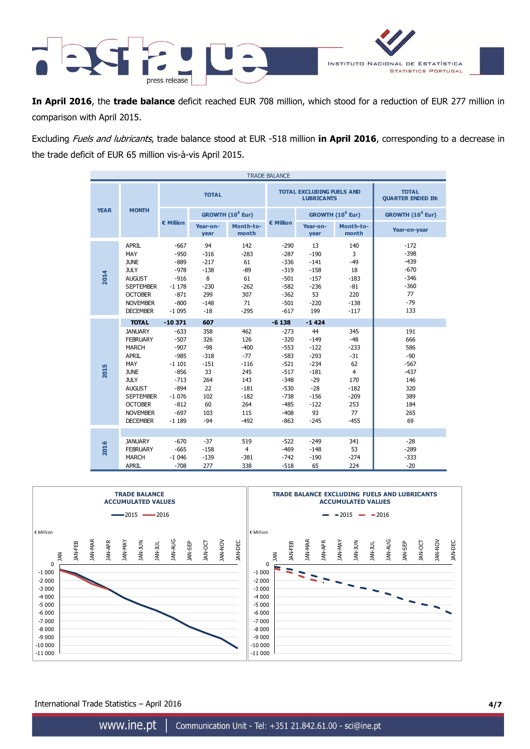

**In April 2016**, the **trade balance** deficit reached EUR 708 million, which stood for a reduction of EUR 277 million in comparison with April 2015.

Excluding Fuels and lubricants, trade balance stood at EUR -518 million **in April 2016**, corresponding to a decrease in the trade deficit of EUR 65 million vis-à-vis April 2015.

| <b>TRADE BALANCE</b> |                                                                                                                                                                                                                     |                                                                                                                                     |                                                                                                |                                                                                                   |                                                                                                                                 |                                                                                                                       |                                                                                                           |                                                                                         |  |
|----------------------|---------------------------------------------------------------------------------------------------------------------------------------------------------------------------------------------------------------------|-------------------------------------------------------------------------------------------------------------------------------------|------------------------------------------------------------------------------------------------|---------------------------------------------------------------------------------------------------|---------------------------------------------------------------------------------------------------------------------------------|-----------------------------------------------------------------------------------------------------------------------|-----------------------------------------------------------------------------------------------------------|-----------------------------------------------------------------------------------------|--|
|                      |                                                                                                                                                                                                                     |                                                                                                                                     | <b>TOTAL</b>                                                                                   |                                                                                                   |                                                                                                                                 | <b>TOTAL EXCLUDING FUELS AND</b><br><b>LUBRICANTS</b>                                                                 | <b>TOTAL</b><br><b>QUARTER ENDED IN:</b>                                                                  |                                                                                         |  |
| <b>YEAR</b>          | <b>MONTH</b>                                                                                                                                                                                                        |                                                                                                                                     |                                                                                                | GROWTH (10 <sup>6</sup> Eur)                                                                      |                                                                                                                                 |                                                                                                                       | GROWTH (10 <sup>6</sup> Eur)                                                                              | GROWTH (10 <sup>6</sup> Eur)                                                            |  |
|                      |                                                                                                                                                                                                                     | € Million                                                                                                                           | Year-on-<br>year                                                                               | Month-to-<br>month                                                                                | € Million                                                                                                                       | Year-on-<br>year                                                                                                      | Month-to-<br>month                                                                                        | Year-on-year                                                                            |  |
| 2014                 | <b>APRIL</b><br>MAY<br><b>JUNE</b><br><b>JULY</b><br><b>AUGUST</b><br><b>SEPTEMBER</b><br><b>OCTOBER</b><br><b>NOVEMBER</b><br><b>DECEMBER</b>                                                                      | $-667$<br>$-950$<br>$-889$<br>$-978$<br>$-916$<br>$-1178$<br>$-871$<br>$-800$<br>$-1095$                                            | 94<br>$-316$<br>$-217$<br>$-138$<br>8<br>$-230$<br>299<br>$-148$<br>$-18$                      | 142<br>$-283$<br>61<br>$-89$<br>61<br>$-262$<br>307<br>71<br>$-295$                               | $-290$<br>$-287$<br>$-336$<br>$-319$<br>$-501$<br>$-582$<br>$-362$<br>$-501$<br>$-617$                                          | 13<br>$-190$<br>$-141$<br>$-158$<br>$-157$<br>$-236$<br>53<br>$-220$<br>199                                           | 140<br>3<br>$-49$<br>18<br>$-183$<br>$-81$<br>220<br>$-138$<br>$-117$                                     | $-172$<br>$-398$<br>$-439$<br>$-670$<br>$-346$<br>$-360$<br>77<br>$-79$<br>133          |  |
| 2015                 | <b>TOTAL</b><br><b>JANUARY</b><br><b>FEBRUARY</b><br><b>MARCH</b><br><b>APRIL</b><br>MAY<br><b>JUNE</b><br><b>JULY</b><br><b>AUGUST</b><br><b>SEPTEMBER</b><br><b>OCTOBER</b><br><b>NOVEMBER</b><br><b>DECEMBER</b> | $-10371$<br>$-633$<br>$-507$<br>$-907$<br>$-985$<br>$-1101$<br>$-856$<br>$-713$<br>$-894$<br>$-1076$<br>$-812$<br>$-697$<br>$-1189$ | 607<br>358<br>326<br>$-98$<br>$-318$<br>$-151$<br>33<br>264<br>22<br>102<br>60<br>103<br>$-94$ | 462<br>126<br>$-400$<br>$-77$<br>$-116$<br>245<br>143<br>$-181$<br>$-182$<br>264<br>115<br>$-492$ | $-6138$<br>$-273$<br>$-320$<br>$-553$<br>$-583$<br>$-521$<br>$-517$<br>$-348$<br>$-530$<br>$-738$<br>$-485$<br>$-408$<br>$-863$ | $-1424$<br>44<br>$-149$<br>$-122$<br>$-293$<br>$-234$<br>$-181$<br>$-29$<br>$-28$<br>$-156$<br>$-122$<br>93<br>$-245$ | 345<br>$-48$<br>$-233$<br>$-31$<br>62<br>$\overline{4}$<br>170<br>$-182$<br>$-209$<br>253<br>77<br>$-455$ | 191<br>666<br>586<br>$-90$<br>$-567$<br>$-437$<br>146<br>320<br>389<br>184<br>265<br>69 |  |
| 2016                 | <b>JANUARY</b><br><b>FEBRUARY</b><br><b>MARCH</b><br><b>APRIL</b>                                                                                                                                                   | $-670$<br>$-665$<br>$-1046$<br>$-708$                                                                                               | $-37$<br>$-158$<br>$-139$<br>277                                                               | 519<br>$\overline{4}$<br>$-381$<br>338                                                            | $-522$<br>$-469$<br>$-742$<br>$-518$                                                                                            | $-249$<br>$-148$<br>$-190$<br>65                                                                                      | 341<br>53<br>$-274$<br>224                                                                                | $-28$<br>$-289$<br>$-333$<br>$-20$                                                      |  |



International Trade Statistics – April 2016 **4/7**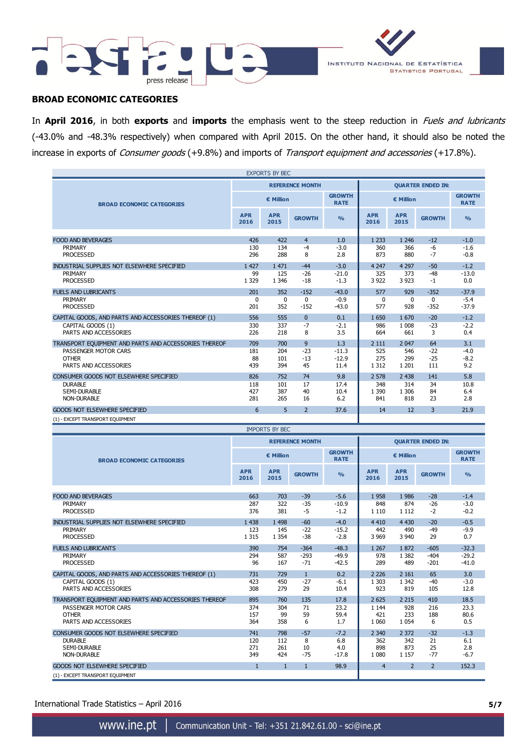



### **BROAD ECONOMIC CATEGORIES**

In **April 2016**, in both **exports** and **imports** the emphasis went to the steep reduction in Fuels and lubricants (-43.0% and -48.3% respectively) when compared with April 2015. On the other hand, it should also be noted the increase in exports of *Consumer goods* (+9.8%) and imports of *Transport equipment and accessories* (+17.8%).

| <b>EXPORTS BY BEC</b>                                 |                    |                       |                        |                              |                          |                    |                          |                              |
|-------------------------------------------------------|--------------------|-----------------------|------------------------|------------------------------|--------------------------|--------------------|--------------------------|------------------------------|
|                                                       |                    |                       | <b>REFERENCE MONTH</b> |                              |                          |                    | <b>QUARTER ENDED IN:</b> |                              |
| <b>BROAD ECONOMIC CATEGORIES</b>                      |                    | € Million             |                        | <b>GROWTH</b><br><b>RATE</b> | € Million                |                    |                          | <b>GROWTH</b><br><b>RATE</b> |
|                                                       | <b>APR</b><br>2016 | <b>APR</b><br>2015    | <b>GROWTH</b>          | $\frac{9}{6}$                | <b>APR</b><br>2016       | <b>APR</b><br>2015 | <b>GROWTH</b>            | $\frac{0}{0}$                |
|                                                       | 426                |                       |                        |                              |                          |                    |                          | $-1.0$                       |
| <b>FOOD AND BEVERAGES</b><br>PRIMARY                  | 130                | 422<br>134            | $\overline{4}$<br>$-4$ | 1.0<br>$-3.0$                | 1 2 3 3<br>360           | 1 2 4 6<br>366     | $-12$<br>-6              | $-1.6$                       |
| <b>PROCESSED</b>                                      | 296                | 288                   | 8                      | 2.8                          | 873                      | 880                | $-7$                     | $-0.8$                       |
| INDUSTRIAL SUPPLIES NOT ELSEWHERE SPECIFIED           | 1 4 2 7            | 1 471                 | $-44$                  | $-3.0$                       | 4 2 4 7                  | 4 2 9 7            | $-50$                    | $-1.2$                       |
| PRIMARY                                               | 99                 | 125                   | $-26$                  | $-21.0$                      | 325                      | 373                | $-48$                    | $-13.0$                      |
| <b>PROCESSED</b>                                      | 1 3 2 9            | 1 3 4 6               | $-18$                  | $-1.3$                       | 3 9 2 2                  | 3 9 2 3            | $-1$                     | 0.0                          |
| <b>FUELS AND LUBRICANTS</b>                           | 201                | 352                   | $-152$                 | $-43.0$                      | 577                      | 929                | $-352$                   | $-37.9$                      |
| PRIMARY                                               | 0                  | $\mathbf{0}$          | $\mathbf{0}$           | -0.9                         | $\Omega$                 | $\Omega$           | $\mathbf{0}$             | $-5.4$                       |
| <b>PROCESSED</b>                                      | 201                | 352                   | $-152$                 | $-43.0$                      | 577                      | 928                | $-352$                   | $-37.9$                      |
| CAPITAL GOODS, AND PARTS AND ACCESSORIES THEREOF (1)  | 556                | 555                   | $\Omega$               | 0.1                          | 1 650                    | 1670               | $-20$                    | $-1.2$                       |
| CAPITAL GOODS (1)<br>PARTS AND ACCESSORIES            | 330<br>226         | 337<br>218            | $-7$<br>8              | $-2.1$<br>3.5                | 986<br>664               | 1 0 0 8<br>661     | $-23$<br>3               | $-2.2$<br>0.4                |
|                                                       |                    |                       |                        |                              |                          |                    |                          |                              |
| TRANSPORT EQUIPMENT AND PARTS AND ACCESSORIES THEREOF | 709                | 700                   | 9                      | 1.3                          | 2 1 1 1                  | 2 0 4 7            | 64                       | 3.1                          |
| PASSENGER MOTOR CARS<br><b>OTHER</b>                  | 181<br>88          | 204<br>101            | $-23$<br>$-13$         | $-11.3$<br>$-12.9$           | 525<br>275               | 546<br>299         | $-22$<br>$-25$           | $-4.0$<br>$-8.2$             |
| PARTS AND ACCESSORIES                                 | 439                | 394                   | 45                     | 11.4                         | 1 3 1 2                  | 1 2 0 1            | 111                      | 9.2                          |
| CONSUMER GOODS NOT ELSEWHERE SPECIFIED                | 826                | 752                   | 74                     | 9.8                          | 2 5 7 8                  | 2 4 3 8            | 141                      | 5.8                          |
| <b>DURABLE</b>                                        | 118                | 101                   | 17                     | 17.4                         | 348                      | 314                | 34                       | 10.8                         |
| <b>SEMI-DURABLE</b>                                   | 427                | 387                   | 40                     | 10.4                         | 1 3 9 0                  | 1 3 0 6            | 84                       | 6.4                          |
| <b>NON-DURABLE</b>                                    | 281                | 265                   | 16                     | 6.2                          | 841                      | 818                | 23                       | 2.8                          |
| <b>GOODS NOT ELSEWHERE SPECIFIED</b>                  | 6                  | 5                     | $\overline{2}$         | 37.6                         | 14                       | 12                 | 3                        | 21.9                         |
| (1) - EXCEPT TRANSPORT EQUIPMENT                      |                    |                       |                        |                              |                          |                    |                          |                              |
|                                                       |                    | <b>IMPORTS BY BEC</b> |                        |                              |                          |                    |                          |                              |
|                                                       |                    |                       | <b>REFERENCE MONTH</b> |                              | <b>QUARTER ENDED IN:</b> |                    |                          |                              |
| <b>BROAD ECONOMIC CATEGORIES</b>                      |                    | € Million             |                        | <b>GROWTH</b><br><b>RATE</b> | € Million                |                    |                          | <b>GROWTH</b><br><b>RATE</b> |
|                                                       | <b>APR</b><br>2016 | <b>APR</b><br>2015    | <b>GROWTH</b>          | $\frac{9}{6}$                | <b>APR</b><br>2016       | <b>APR</b><br>2015 | <b>GROWTH</b>            | $\frac{0}{0}$                |
|                                                       |                    |                       |                        |                              |                          |                    |                          |                              |
| <b>FOOD AND BEVERAGES</b><br>PRIMARY                  | 663<br>287         | 703<br>322            | $-39$<br>$-35$         | $-5.6$<br>$-10.9$            | 1958<br>848              | 1986<br>874        | $-28$<br>$-26$           | $-1.4$<br>$-3.0$             |
| <b>PROCESSED</b>                                      | 376                | 381                   | -5                     | $-1.2$                       | 1 1 1 0                  | 1 1 1 2            | $-2$                     | $-0.2$                       |
| INDUSTRIAL SUPPLIES NOT ELSEWHERE SPECIFIED           | 1 4 3 8            | 1 4 9 8               | $-60$                  | $-4.0$                       | 4 4 1 0                  | 4 4 3 0            | $-20$                    | $-0.5$                       |
| PRIMARY                                               | 123                | 145                   | $-22$                  | $-15.2$                      | 442                      | 490                | $-49$                    | $-9.9$                       |
| <b>PROCESSED</b>                                      | 1 3 1 5            | 1 3 5 4               | $-38$                  | $-2.8$                       | 3 9 6 9                  | 3 9 4 0            | 29                       | 0.7                          |
| <b>FUELS AND LUBRICANTS</b>                           | 390                | 754                   | $-364$                 | $-48.3$                      | 1 2 6 7                  | 1872               | $-605$                   | $-32.3$                      |
| PRIMARY                                               | 294                | 587                   | $-293$                 | $-49.9$                      | 978                      | 1 3 8 2            | $-404$                   | $-29.2$                      |

PROCESSED 96 167 -71 -42.5 289 489 -201 -41.0 CAPITAL GOODS, AND PARTS AND ACCESSORIES THEREOF (1)  $\begin{array}{cccc} 731 & 729 & 1 & 0.2 & 226 & 2161 & 65 & 3.0 \\ 2226 & 2161 & 65 & 3.0 & 423 & 450 & -27 & -6.1 & 1303 & 1342 & -40 & -3.0 \end{array}$ CAPITAL GOODS (1) <br>
PARTS AND ACCESSORIES 
279 29 10.4 923 819 105 12.8

PASSENGER MOTOR CARS<br>
PASSENGER MOTOR CARS<br>
374 304 71 23.2 1 144 928 216 23.3<br>
374 304 71 23.2 1 144 928 216 23.3<br>
374 304 71 23.2 1 144 928 216 23.3 OTHER 157 99 59 59.4 421 233 188 80.6 PARTS AND ACCESSORIES 364 358 6 1.7 1 060 1 054 6 0.5

DURABLE 120 112 8 6.8 362 342 21 6.1 SEMI-DURABLE 271 261 10 4.0 898 873 25 2.8

895 760 135 17.8 2625 2 215 410 18.5

741 798 -57 -7.2 2 340 2 372 -32 -1.3

| 98.9<br><b>GOODS NOT ELSEWHERE SPECIFIED</b> |       |
|----------------------------------------------|-------|
|                                              | 152.3 |
| (1) - EXCEPT TRANSPORT EQUIPMENT             |       |

International Trade Statistics – April 2016 **5/7**

CONSUMER GOODS NOT ELSEWHERE SPECIFIED

PARTS AND ACCESSORIES

TRANSPORT EQUIPMENT AND PARTS AND ACCESSORIES THEREOF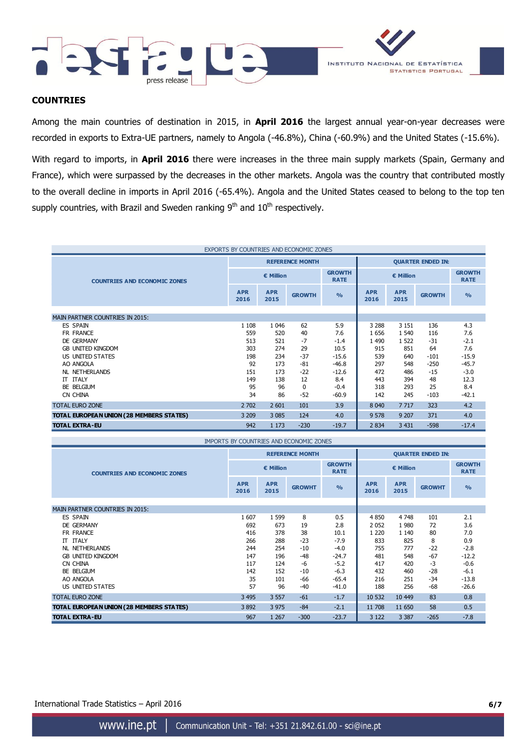



### **COUNTRIES**

Among the main countries of destination in 2015, in **April 2016** the largest annual year-on-year decreases were recorded in exports to Extra-UE partners, namely to Angola (-46.8%), China (-60.9%) and the United States (-15.6%).

With regard to imports, in **April 2016** there were increases in the three main supply markets (Spain, Germany and France), which were surpassed by the decreases in the other markets. Angola was the country that contributed mostly to the overall decline in imports in April 2016 (-65.4%). Angola and the United States ceased to belong to the top ten supply countries, with Brazil and Sweden ranking 9<sup>th</sup> and 10<sup>th</sup> respectively.

| EXPORTS BY COUNTRIES AND ECONOMIC ZONES  |                    |                    |                        |                              |                          |                    |               |                              |
|------------------------------------------|--------------------|--------------------|------------------------|------------------------------|--------------------------|--------------------|---------------|------------------------------|
|                                          |                    |                    | <b>REFERENCE MONTH</b> |                              | <b>QUARTER ENDED IN:</b> |                    |               |                              |
| <b>COUNTRIES AND ECONOMIC ZONES</b>      |                    | € Million          |                        | <b>GROWTH</b><br><b>RATE</b> |                          | € Million          |               | <b>GROWTH</b><br><b>RATE</b> |
|                                          | <b>APR</b><br>2016 | <b>APR</b><br>2015 | <b>GROWTH</b>          | O <sub>0</sub>               | <b>APR</b><br>2016       | <b>APR</b><br>2015 | <b>GROWTH</b> | $\frac{0}{0}$                |
| <b>MAIN PARTNER COUNTRIES IN 2015:</b>   |                    |                    |                        |                              |                          |                    |               |                              |
|                                          |                    |                    |                        |                              |                          |                    |               |                              |
| <b>ES SPAIN</b>                          | 1 1 0 8            | 1 0 4 6            | 62                     | 5.9                          | 3 2 8 8                  | 3 1 5 1            | 136           | 4.3                          |
| FR FRANCE                                | 559                | 520                | 40                     | 7.6                          | 1656                     | 1 5 4 0            | 116           | 7.6                          |
| <b>DE GERMANY</b>                        | 513                | 521                | $-7$                   | $-1.4$                       | 1 4 9 0                  | 1 5 2 2            | $-31$         | $-2.1$                       |
| <b>GB UNITED KINGDOM</b>                 | 303                | 274                | 29                     | 10.5                         | 915                      | 851                | 64            | 7.6                          |
| US UNITED STATES                         | 198                | 234                | $-37$                  | $-15.6$                      | 539                      | 640                | $-101$        | $-15.9$                      |
| AO ANGOLA                                | 92                 | 173                | $-81$                  | $-46.8$                      | 297                      | 548                | $-250$        | $-45.7$                      |
| <b>NL NETHERLANDS</b>                    | 151                | 173                | $-22$                  | $-12.6$                      | 472                      | 486                | $-15$         | $-3.0$                       |
| <b>ITALY</b><br>$\Pi$                    | 149                | 138                | 12                     | 8.4                          | 443                      | 394                | 48            | 12.3                         |
| BE BELGIUM                               | 95                 | 96                 | $\Omega$               | $-0.4$                       | 318                      | 293                | 25            | 8.4                          |
| CN CHINA                                 | 34                 | 86                 | $-52$                  | $-60.9$                      | 142                      | 245                | $-103$        | $-42.1$                      |
| <b>TOTAL EURO ZONE</b>                   | 2 702              | 2 601              | 101                    | 3.9                          | 8 0 4 0                  | 7 7 1 7            | 323           | 4.2                          |
| TOTAL EUROPEAN UNION (28 MEMBERS STATES) | 3 2 0 9            | 3 0 8 5            | 124                    | 4.0                          | 9 5 7 8                  | 9 20 7             | 371           | 4.0                          |
| <b>TOTAL EXTRA-EU</b>                    | 942                | 1 1 7 3            | $-230$                 | $-19.7$                      | 2 8 3 4                  | 3 4 3 1            | $-598$        | $-17.4$                      |

| IMPORTS BY COUNTRIES AND ECONOMIC ZONES  |                    |                    |                        |                              |                          |                    |               |                              |
|------------------------------------------|--------------------|--------------------|------------------------|------------------------------|--------------------------|--------------------|---------------|------------------------------|
|                                          |                    |                    | <b>REFERENCE MONTH</b> |                              | <b>QUARTER ENDED IN:</b> |                    |               |                              |
| <b>COUNTRIES AND ECONOMIC ZONES</b>      | $\epsilon$ Million |                    |                        | <b>GROWTH</b><br><b>RATE</b> | € Million                |                    |               | <b>GROWTH</b><br><b>RATE</b> |
|                                          | <b>APR</b><br>2016 | <b>APR</b><br>2015 | <b>GROWHT</b>          | $\frac{0}{0}$                | <b>APR</b><br>2016       | <b>APR</b><br>2015 | <b>GROWHT</b> | $\frac{0}{0}$                |
| <b>MAIN PARTNER COUNTRIES IN 2015:</b>   |                    |                    |                        |                              |                          |                    |               |                              |
| ES SPAIN                                 | 1607               | 1 5 9 9            | 8                      | 0.5                          | 4 8 5 0                  | 4748               | 101           | 2.1                          |
| DE GERMANY                               | 692                | 673                | 19                     | 2.8                          | 2 0 5 2                  | 1980               | 72            | 3.6                          |
| FR FRANCE                                | 416                | 378                | 38                     | 10.1                         | 1 2 2 0                  | 1 1 4 0            | 80            | 7.0                          |
| <b>IT ITALY</b>                          | 266                | 288                | $-23$                  | $-7.9$                       | 833                      | 825                | 8             | 0.9                          |
| <b>NL NETHERLANDS</b>                    | 244                | 254                | $-10$                  | $-4.0$                       | 755                      | 777                | $-22$         | $-2.8$                       |
| <b>GB UNITED KINGDOM</b>                 | 147                | 196                | $-48$                  | $-24.7$                      | 481                      | 548                | $-67$         | $-12.2$                      |
| CN CHINA                                 | 117                | 124                | -6                     | $-5.2$                       | 417                      | 420                | -3            | $-0.6$                       |
| BE BELGIUM                               | 142                | 152                | $-10$                  | $-6.3$                       | 432                      | 460                | $-28$         | $-6.1$                       |
| AO ANGOLA                                | 35                 | 101                | -66                    | $-65.4$                      | 216                      | 251                | $-34$         | $-13.8$                      |
| US UNITED STATES                         | 57                 | 96                 | -40                    | $-41.0$                      | 188                      | 256                | -68           | $-26.6$                      |
| <b>TOTAL EURO ZONE</b>                   | 3 4 9 5            | 3 5 5 7            | $-61$                  | $-1.7$                       | 10 532                   | 10 449             | 83            | 0.8                          |
| TOTAL EUROPEAN UNION (28 MEMBERS STATES) | 3892               | 3 9 7 5            | $-84$                  | $-2.1$                       | 11 708                   | 11 650             | 58            | 0.5                          |
| <b>TOTAL EXTRA-EU</b>                    | 967                | 1 2 6 7            | $-300$                 | $-23.7$                      | 3 1 2 2                  | 3 3 8 7            | $-265$        | $-7.8$                       |

International Trade Statistics – April 2016 **6/7**